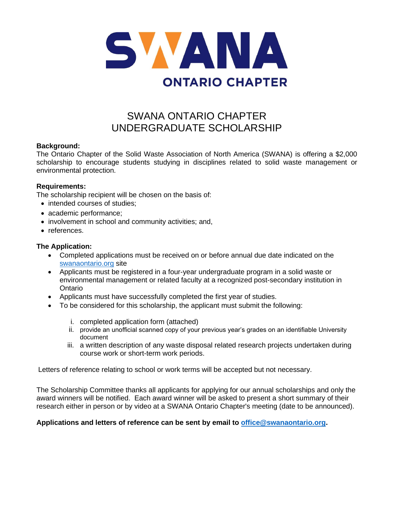

# SWANA ONTARIO CHAPTER UNDERGRADUATE SCHOLARSHIP

## **Background:**

The Ontario Chapter of the Solid Waste Association of North America (SWANA) is offering a \$2,000 scholarship to encourage students studying in disciplines related to solid waste management or environmental protection.

#### **Requirements:**

The scholarship recipient will be chosen on the basis of:

- intended courses of studies:
- academic performance;
- involvement in school and community activities; and,
- references.

#### **The Application:**

- Completed applications must be received on or before annual due date indicated on the [swanaontario.org](http://www.swanaontario.org/) site
- Applicants must be registered in a four-year undergraduate program in a solid waste or environmental management or related faculty at a recognized post-secondary institution in Ontario
- Applicants must have successfully completed the first year of studies.
- To be considered for this scholarship, the applicant must submit the following:
	- i. completed application form (attached)
	- ii. provide an unofficial scanned copy of your previous year's grades on an identifiable University document
	- iii. a written description of any waste disposal related research projects undertaken during course work or short-term work periods.

Letters of reference relating to school or work terms will be accepted but not necessary.

The Scholarship Committee thanks all applicants for applying for our annual scholarships and only the award winners will be notified. Each award winner will be asked to present a short summary of their research either in person or by video at a SWANA Ontario Chapter's meeting (date to be announced).

## **Applications and letters of reference can be sent by email to [office@swanaontario.org.](../2017/office@swanaontario.org)**